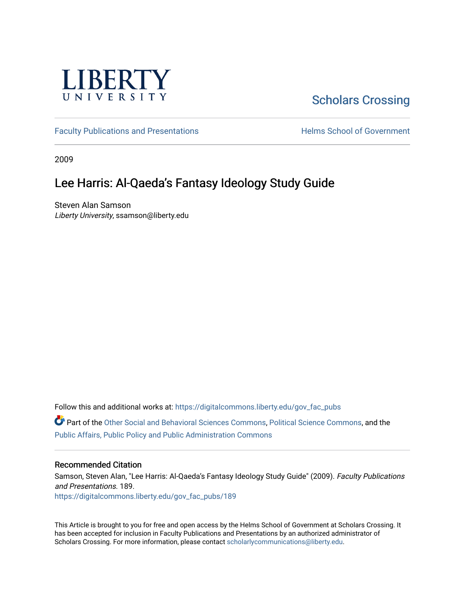

# [Scholars Crossing](https://digitalcommons.liberty.edu/)

[Faculty Publications and Presentations](https://digitalcommons.liberty.edu/gov_fac_pubs) **Exercise School of Government** 

2009

### Lee Harris: Al-Qaeda's Fantasy Ideology Study Guide

Steven Alan Samson Liberty University, ssamson@liberty.edu

Follow this and additional works at: [https://digitalcommons.liberty.edu/gov\\_fac\\_pubs](https://digitalcommons.liberty.edu/gov_fac_pubs?utm_source=digitalcommons.liberty.edu%2Fgov_fac_pubs%2F189&utm_medium=PDF&utm_campaign=PDFCoverPages)

Part of the [Other Social and Behavioral Sciences Commons](http://network.bepress.com/hgg/discipline/437?utm_source=digitalcommons.liberty.edu%2Fgov_fac_pubs%2F189&utm_medium=PDF&utm_campaign=PDFCoverPages), [Political Science Commons](http://network.bepress.com/hgg/discipline/386?utm_source=digitalcommons.liberty.edu%2Fgov_fac_pubs%2F189&utm_medium=PDF&utm_campaign=PDFCoverPages), and the [Public Affairs, Public Policy and Public Administration Commons](http://network.bepress.com/hgg/discipline/393?utm_source=digitalcommons.liberty.edu%2Fgov_fac_pubs%2F189&utm_medium=PDF&utm_campaign=PDFCoverPages)

### Recommended Citation

Samson, Steven Alan, "Lee Harris: Al-Qaeda's Fantasy Ideology Study Guide" (2009). Faculty Publications and Presentations. 189. [https://digitalcommons.liberty.edu/gov\\_fac\\_pubs/189](https://digitalcommons.liberty.edu/gov_fac_pubs/189?utm_source=digitalcommons.liberty.edu%2Fgov_fac_pubs%2F189&utm_medium=PDF&utm_campaign=PDFCoverPages)

This Article is brought to you for free and open access by the Helms School of Government at Scholars Crossing. It has been accepted for inclusion in Faculty Publications and Presentations by an authorized administrator of Scholars Crossing. For more information, please contact [scholarlycommunications@liberty.edu.](mailto:scholarlycommunications@liberty.edu)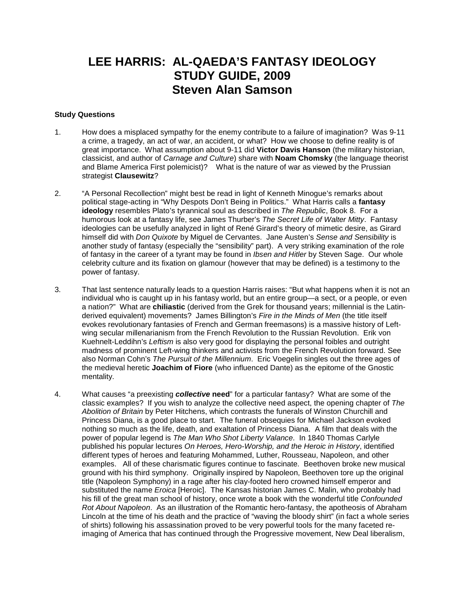## **LEE HARRIS: AL-QAEDA'S FANTASY IDEOLOGY STUDY GUIDE, 2009 Steven Alan Samson**

### **Study Questions**

- 1. How does a misplaced sympathy for the enemy contribute to a failure of imagination? Was 9-11 a crime, a tragedy, an act of war, an accident, or what? How we choose to define reality is of great importance. What assumption about 9-11 did **Victor Davis Hanson** (the military historian, classicist, and author of *Carnage and Culture*) share with **Noam Chomsky** (the language theorist and Blame America First polemicist)? What is the nature of war as viewed by the Prussian strategist **Clausewitz**?
- 2. "A Personal Recollection" might best be read in light of Kenneth Minogue's remarks about political stage-acting in "Why Despots Don't Being in Politics." What Harris calls a **fantasy ideology** resembles Plato's tyrannical soul as described in *The Republic*, Book 8. For a humorous look at a fantasy life, see James Thurber's *The Secret Life of Walter Mitty*. Fantasy ideologies can be usefully analyzed in light of René Girard's theory of mimetic desire, as Girard himself did with *Don Quixote* by Miguel de Cervantes. Jane Austen's *Sense and Sensibility* is another study of fantasy (especially the "sensibility" part). A very striking examination of the role of fantasy in the career of a tyrant may be found in *Ibsen and Hitler* by Steven Sage. Our whole celebrity culture and its fixation on glamour (however that may be defined) is a testimony to the power of fantasy.
- 3. That last sentence naturally leads to a question Harris raises: "But what happens when it is not an individual who is caught up in his fantasy world, but an entire group—a sect, or a people, or even a nation?" What are **chiliastic** (derived from the Grek for thousand years; millennial is the Latinderived equivalent) movements? James Billington's *Fire in the Minds of Men* (the title itself evokes revolutionary fantasies of French and German freemasons) is a massive history of Leftwing secular millenarianism from the French Revolution to the Russian Revolution. Erik von Kuehnelt-Leddihn's *Leftism* is also very good for displaying the personal foibles and outright madness of prominent Left-wing thinkers and activists from the French Revolution forward. See also Norman Cohn's *The Pursuit of the Millennium*. Eric Voegelin singles out the three ages of the medieval heretic **Joachim of Fiore** (who influenced Dante) as the epitome of the Gnostic mentality.
- 4. What causes "a preexisting *collective* **need**" for a particular fantasy? What are some of the classic examples? If you wish to analyze the collective need aspect, the opening chapter of *The Abolition of Britain* by Peter Hitchens, which contrasts the funerals of Winston Churchill and Princess Diana, is a good place to start. The funeral obsequies for Michael Jackson evoked nothing so much as the life, death, and exaltation of Princess Diana. A film that deals with the power of popular legend is *The Man Who Shot Liberty Valance*. In 1840 Thomas Carlyle published his popular lectures *On Heroes, Hero-Worship, and the Heroic in History*, identified different types of heroes and featuring Mohammed, Luther, Rousseau, Napoleon, and other examples. All of these charismatic figures continue to fascinate. Beethoven broke new musical ground with his third symphony. Originally inspired by Napoleon, Beethoven tore up the original title (Napoleon Symphony) in a rage after his clay-footed hero crowned himself emperor and substituted the name *Eroica* [Heroic]. The Kansas historian James C. Malin, who probably had his fill of the great man school of history, once wrote a book with the wonderful title *Confounded Rot About Napoleon*. As an illustration of the Romantic hero-fantasy, the apotheosis of Abraham Lincoln at the time of his death and the practice of "waving the bloody shirt" (in fact a whole series of shirts) following his assassination proved to be very powerful tools for the many faceted reimaging of America that has continued through the Progressive movement, New Deal liberalism,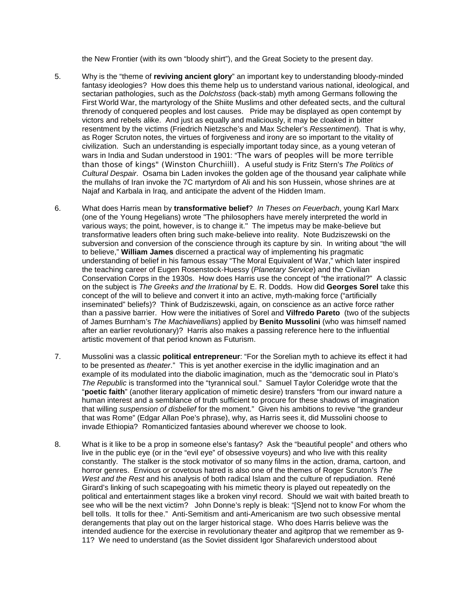the New Frontier (with its own "bloody shirt"), and the Great Society to the present day.

- 5. Why is the "theme of **reviving ancient glory**" an important key to understanding bloody-minded fantasy ideologies? How does this theme help us to understand various national, ideological, and sectarian pathologies, such as the *Dolchstoss* (back-stab) myth among Germans following the First World War, the martyrology of the Shiite Muslims and other defeated sects, and the cultural threnody of conquered peoples and lost causes. Pride may be displayed as open contempt by victors and rebels alike. And just as equally and maliciously, it may be cloaked in bitter resentment by the victims (Friedrich Nietzsche's and Max Scheler's *Ressentiment*). That is why, as Roger Scruton notes, the virtues of forgiveness and irony are so important to the vitality of civilization. Such an understanding is especially important today since, as a young veteran of wars in India and Sudan understood in 1901: "The wars of peoples will be more terrible than those of kings" (Winston Churchiill). A useful study is Fritz Stern's *The Politics of Cultural Despair*. Osama bin Laden invokes the golden age of the thousand year caliphate while the mullahs of Iran invoke the 7C martyrdom of Ali and his son Hussein, whose shrines are at Najaf and Karbala in Iraq, and anticipate the advent of the Hidden Imam.
- 6. What does Harris mean by **transformative belief**? *In Theses on Feuerbach*, young Karl Marx (one of the Young Hegelians) wrote "The philosophers have merely interpreted the world in various ways; the point, however, is to change it." The impetus may be make-believe but transformative leaders often bring such make-believe into reality. Note Budziszewski on the subversion and conversion of the conscience through its capture by sin. In writing about "the will to believe," **William James** discerned a practical way of implementing his pragmatic understanding of belief in his famous essay "The Moral Equivalent of War," which later inspired the teaching career of Eugen Rosenstock-Huessy (*Planetary Service*) and the Civilian Conservation Corps in the 1930s. How does Harris use the concept of "the irrational?" A classic on the subject is *The Greeks and the Irrational* by E. R. Dodds. How did **Georges Sorel** take this concept of the will to believe and convert it into an active, myth-making force ("artificially inseminated" beliefs)? Think of Budziszewski, again, on conscience as an active force rather than a passive barrier. How were the initiatives of Sorel and **Vilfredo Pareto** (two of the subjects of James Burnham's *The Machiavellians*) applied by **Benito Mussolini** (who was himself named after an earlier revolutionary)? Harris also makes a passing reference here to the influential artistic movement of that period known as Futurism.
- 7. Mussolini was a classic **political entrepreneur**: "For the Sorelian myth to achieve its effect it had to be presented as *theater*." This is yet another exercise in the idyllic imagination and an example of its modulated into the diabolic imagination, much as the "democratic soul in Plato's *The Republic* is transformed into the "tyrannical soul." Samuel Taylor Coleridge wrote that the "**poetic faith**" (another literary application of mimetic desire) transfers "from our inward nature a human interest and a semblance of truth sufficient to procure for these shadows of imagination that willing *suspension of disbelief* for the moment." Given his ambitions to revive "the grandeur that was Rome" (Edgar Allan Poe's phrase), why, as Harris sees it, did Mussolini choose to invade Ethiopia? Romanticized fantasies abound wherever we choose to look.
- 8. What is it like to be a prop in someone else's fantasy? Ask the "beautiful people" and others who live in the public eye (or in the "evil eye" of obsessive voyeurs) and who live with this reality constantly. The stalker is the stock motivator of so many films in the action, drama, cartoon, and horror genres. Envious or covetous hatred is also one of the themes of Roger Scruton's *The West and the Rest* and his analysis of both radical Islam and the culture of repudiation. René Girard's linking of such scapegoating with his mimetic theory is played out repeatedly on the political and entertainment stages like a broken vinyl record. Should we wait with baited breath to see who will be the next victim? John Donne's reply is bleak: "[S]end not to know For whom the bell tolls. It tolls for thee." Anti-Semitism and anti-Americanism are two such obsessive mental derangements that play out on the larger historical stage. Who does Harris believe was the intended audience for the exercise in revolutionary theater and agitprop that we remember as 9- 11? We need to understand (as the Soviet dissident Igor Shafarevich understood about